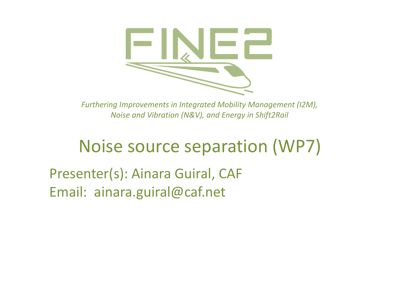

*Furthering Improvements in Integrated Mobility Management (I2M), Noise and Vibration (N&V), and Energy in Shift2Rail*

## Noise source separation (WP7)

Presenter(s): Ainara Guiral, CAF Email: ainara.guiral@caf.net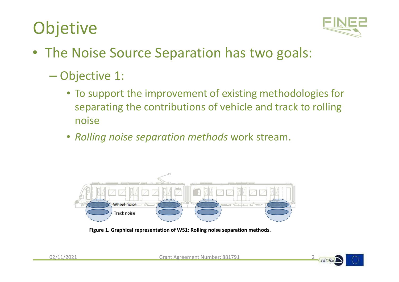## **Objetive**



- The Noise Source Separation has two goals:
	- Objective 1:
		- To support the improvement of existing methodologies for separating the contributions of vehicle and track to rolling noise
		- *Rolling noise separation methods* work stream.



**Figure 1. Graphical representation of WS1: Rolling noise separation methods.**

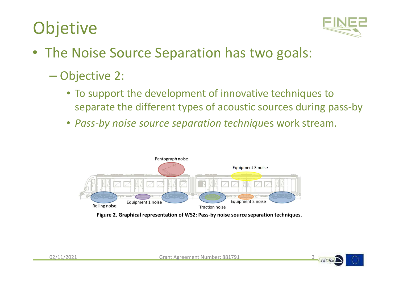## **Objetive**



- The Noise Source Separation has two goals:
	- Objective 2:
		- To support the development of innovative techniques to separate the different types of acoustic sources during pass-by
		- *Pass-by noise source separation techniqu*es work stream.



**Figure 2. Graphical representation of WS2: Pass-by noise source separation techniques.**

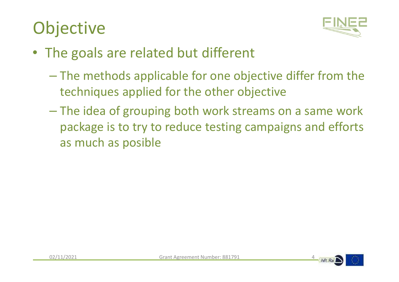## **Objective**



- The goals are related but different
	- The methods applicable for one objective differ from the<br>techniques spelled for the other shiestive techniques applied for the other objective
	- The idea of grouping both work streams on a same work package is to try to reduce testing campaigns and efforts as much as posible

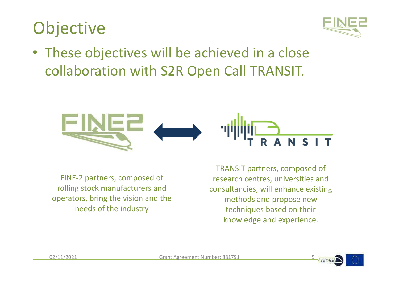### **Objective**



• These objectives will be achieved in a close collaboration with S2R Open Call TRANSIT.



FINE-2 partners, composed of rolling stock manufacturers and operators, bring the vision and the needs of the industry

TRANSIT partners, composed of research centres, universities and consultancies, will enhance existing methods and propose new techniques based on their knowledge and experience.

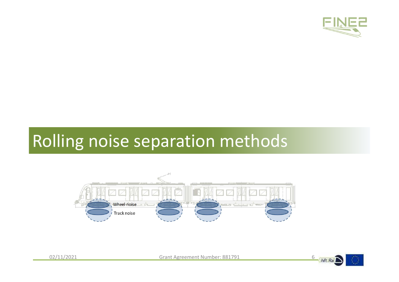

## Rolling noise separation methods



02/11/2021 Grant Agreement Number: 881791 Game 6 Guide Balletin Guide Balletin Guide Balletin Guide B

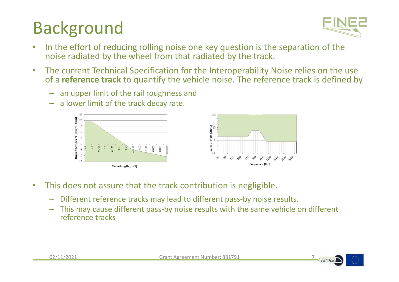

- In the effort of reducing rolling noise one key question is the separation of the  $\bullet$ noise radiated by the wheel from that radiated by the track.
- $\bullet$  The current Technical Specification for the Interoperability Noise relies on the use of a **reference track** to quantify the vehicle noise. The reference track is defined by
	- an upper limit of the rail roughness and





- • This does not assure that the track contribution is negligible.
	- –Different reference tracks may lead to different pass-by noise results.
	- This may cause different pass-by noise results with the same vehicle on different reference tracks

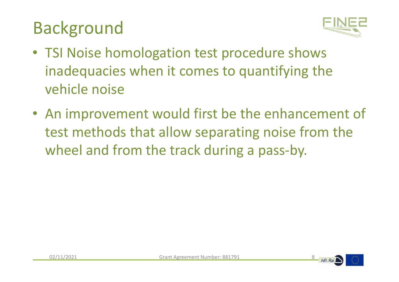

- TSI Noise homologation test procedure shows inadequacies when it comes to quantifying the vehicle noise
- An improvement would first be the enhancement of test methods that allow separating noise from the wheel and from the track during a pass-by.

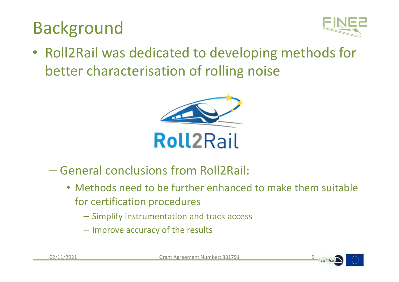

• Roll2Rail was dedicated to developing methods for better characterisation of rolling noise



- $-$  General conclusions from Roll2Rail:
	- Methods need to be further enhanced to make them suitable for certification procedures
		- Simplify instrumentation and track access
		- Improve accuracy of the results

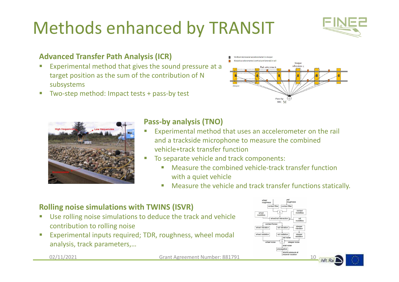# Methods enhanced by TRANSIT



#### **Advanced Transfer Path Analysis (ICR)**

- $\mathcal{C}$  Experimental method that gives the sound pressure at a target position as the sum of the contribution of N subsystems
- **Two-step method: Impact tests + pass-by test**  $\sim$





#### **Pass-by analysis (TNO)**

- П Experimental method that uses an accelerometer on the rail and a trackside microphone to measure the combined vehicle+track transfer function
- To separate vehicle and track components: П
	- Measure the combined vehicle-track transfer functionwith a quiet vehicle
	- $\mathcal{L}_{\mathcal{A}}$ Measure the vehicle and track transfer functions statically.

#### **Rolling noise simulations with TWINS (ISVR)**

- $\mathcal{C}$  Use rolling noise simulations to deduce the track and vehicle contribution to rolling noise
- Experimental inputs required; TDR, roughness, wheel modal г analysis, track parameters,…

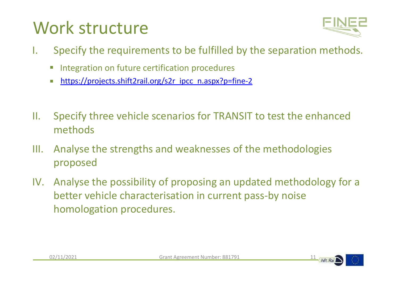## Work structure



- I. Specify the requirements to be fulfilled by the separation methods.
	- Integration on future certification procedures
	- $\Box$ https://projects.shift2rail.org/s2r\_ipcc\_n.aspx?p=fine-2
- II. Specify three vehicle scenarios for TRANSIT to test the enhanced methods
- III. Analyse the strengths and weaknesses of the methodologies proposed
- IV. Analyse the possibility of proposing an updated methodology for a better vehicle characterisation in current pass-by noise homologation procedures.

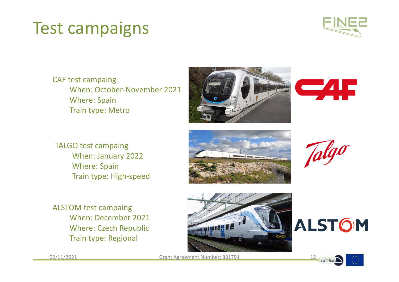## Test campaigns



CAF test campaing When: October-November <sup>2021</sup>Where: SpainTrain type: Metro





TALGO test campaing When: January <sup>2022</sup>Where: SpainTrain type: High-speed



Talgo

ALSTOM test campaing When: December <sup>2021</sup> Where: Czech Republic Train type: Regional





02/11/2021 Grant Agreement Number: 881791 12

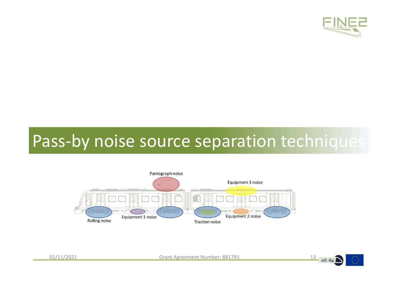

## Pass-by noise source separation techniques





02/11/2021 Grant Agreement Number: 881791 13 Fhift Rai

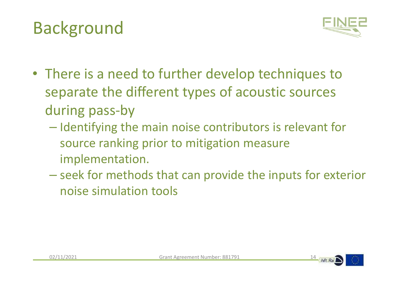

- There is a need to further develop techniques to separate the different types of acoustic sources during pass-by
	- $-$  Identifying the main noise contributors is relevant for source ranking prior to mitigation measure implementation.
	- seek for methods that can provide the inputs for exterior noise simulation tools

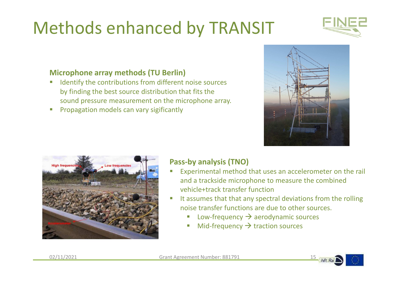# Methods enhanced by TRANSIT



#### **Microphone array methods (TU Berlin)**

- $\mathcal{C}$  Identify the contributions from different noise sources by finding the best source distribution that fits thesound pressure measurement on the microphone array.
- Propagation models can vary sigificantly





#### **Pass-by analysis (TNO)**

- П Experimental method that uses an accelerometer on the rail and a trackside microphone to measure the combined vehicle+track transfer function
- It assumes that that any spectral deviations from the rolling П noise transfer functions are due to other sources.
	- $\Box$ ■ Low-frequency  $\rightarrow$  aerodynamic sources<br>■ Mid-frequency  $\rightarrow$  traction sources
	- П  $\blacksquare$  Mid-frequency  $\rightarrow$  traction sources

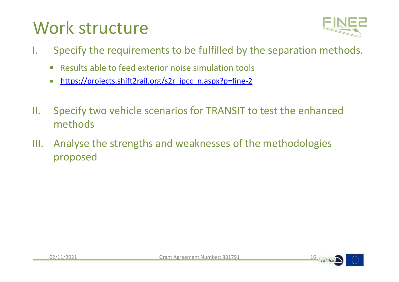## Work structure



- I. Specify the requirements to be fulfilled by the separation methods.
	- $\mathcal{L}_{\mathcal{A}}$ Results able to feed exterior noise simulation tools
	- $\overline{\phantom{a}}$ https://projects.shift2rail.org/s2r\_ipcc\_n.aspx?p=fine-2
- II. Specify two vehicle scenarios for TRANSIT to test the enhanced methods
- III. Analyse the strengths and weaknesses of the methodologies proposed

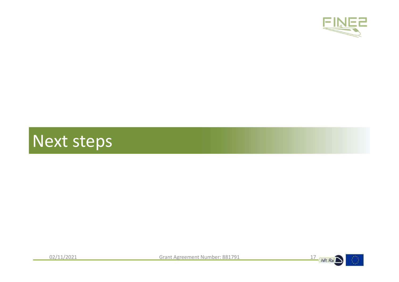

## Next steps

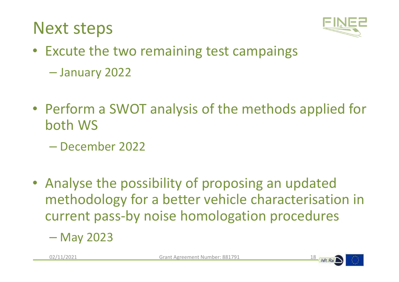### Next steps



- Excute the two remaining test campaings January <sup>2022</sup>
- Perform a SWOT analysis of the methods applied for<br>both WS both WS
	- <mark>— December 2022</mark>
- Analyse the possibility of proposing an updated methodology for a better vehicle characterisation in current pass-by noise homologation procedures
	- May 2023